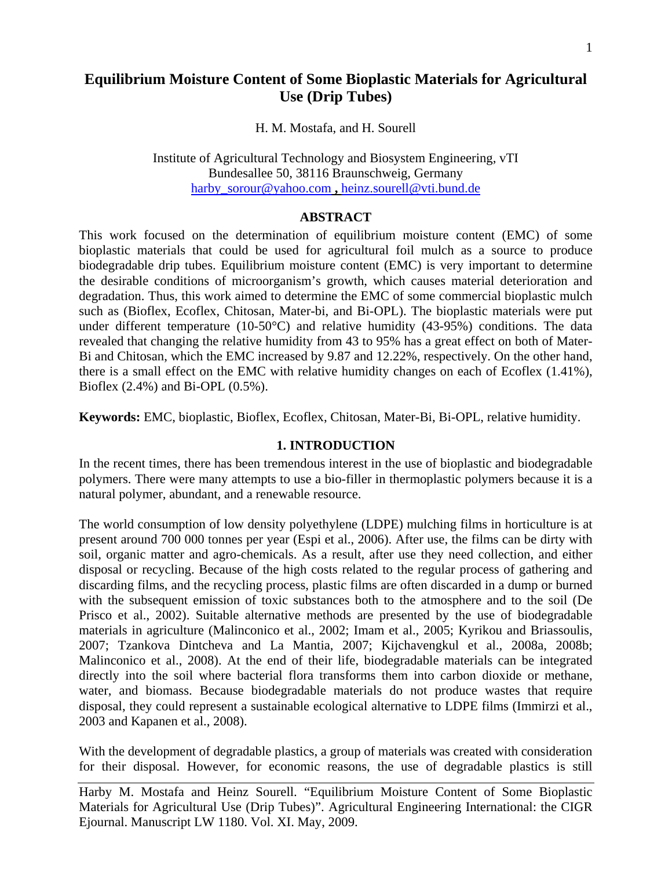# **Equilibrium Moisture Content of Some Bioplastic Materials for Agricultural Use (Drip Tubes)**

H. M. Mostafa, and H. Sourell

Institute of Agricultural Technology and Biosystem Engineering, vTI Bundesallee 50, 38116 Braunschweig, Germany harby\_sorour@yahoo.com **,** heinz.sourell@vti.bund.de

#### **ABSTRACT**

This work focused on the determination of equilibrium moisture content (EMC) of some bioplastic materials that could be used for agricultural foil mulch as a source to produce biodegradable drip tubes. Equilibrium moisture content (EMC) is very important to determine the desirable conditions of microorganism's growth, which causes material deterioration and degradation. Thus, this work aimed to determine the EMC of some commercial bioplastic mulch such as (Bioflex, Ecoflex, Chitosan, Mater-bi, and Bi-OPL). The bioplastic materials were put under different temperature (10-50 $^{\circ}$ C) and relative humidity (43-95%) conditions. The data revealed that changing the relative humidity from 43 to 95% has a great effect on both of Mater-Bi and Chitosan, which the EMC increased by 9.87 and 12.22%, respectively. On the other hand, there is a small effect on the EMC with relative humidity changes on each of Ecoflex (1.41%), Bioflex (2.4%) and Bi-OPL (0.5%).

**Keywords:** EMC, bioplastic, Bioflex, Ecoflex, Chitosan, Mater-Bi, Bi-OPL, relative humidity.

#### **1. INTRODUCTION**

In the recent times, there has been tremendous interest in the use of bioplastic and biodegradable polymers. There were many attempts to use a bio-filler in thermoplastic polymers because it is a natural polymer, abundant, and a renewable resource.

The world consumption of low density polyethylene (LDPE) mulching films in horticulture is at present around 700 000 tonnes per year (Espi et al., 2006). After use, the films can be dirty with soil, organic matter and agro-chemicals. As a result, after use they need collection, and either disposal or recycling. Because of the high costs related to the regular process of gathering and discarding films, and the recycling process, plastic films are often discarded in a dump or burned with the subsequent emission of toxic substances both to the atmosphere and to the soil (De Prisco et al., 2002). Suitable alternative methods are presented by the use of biodegradable materials in agriculture (Malinconico et al., 2002; Imam et al., 2005; Kyrikou and Briassoulis, 2007; Tzankova Dintcheva and La Mantia, 2007; Kijchavengkul et al., 2008a, 2008b; Malinconico et al., 2008). At the end of their life, biodegradable materials can be integrated directly into the soil where bacterial flora transforms them into carbon dioxide or methane, water, and biomass. Because biodegradable materials do not produce wastes that require disposal, they could represent a sustainable ecological alternative to LDPE films (Immirzi et al., 2003 and Kapanen et al., 2008).

With the development of degradable plastics, a group of materials was created with consideration for their disposal. However, for economic reasons, the use of degradable plastics is still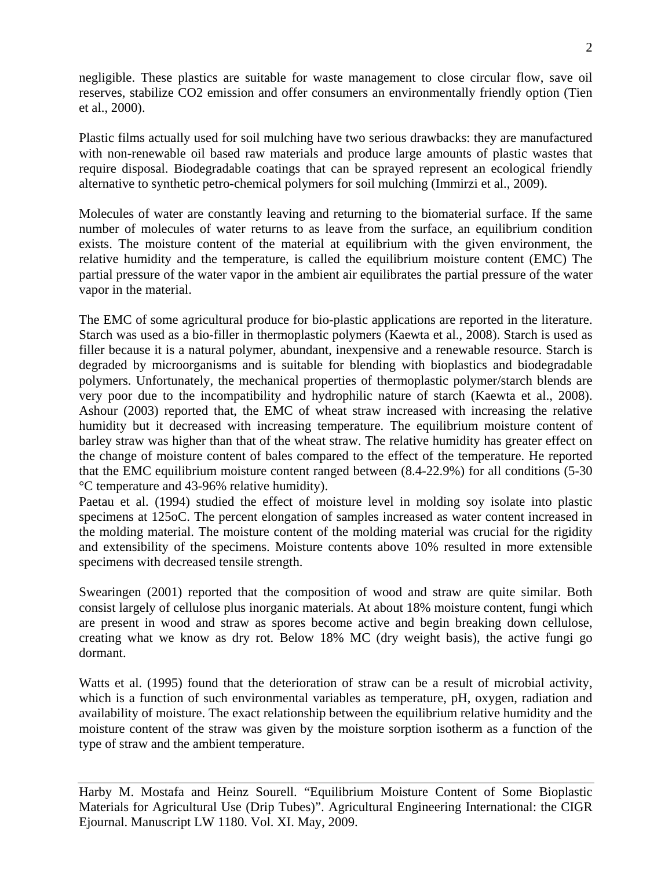negligible. These plastics are suitable for waste management to close circular flow, save oil reserves, stabilize CO2 emission and offer consumers an environmentally friendly option (Tien et al., 2000).

Plastic films actually used for soil mulching have two serious drawbacks: they are manufactured with non-renewable oil based raw materials and produce large amounts of plastic wastes that require disposal. Biodegradable coatings that can be sprayed represent an ecological friendly alternative to synthetic petro-chemical polymers for soil mulching (Immirzi et al., 2009).

Molecules of water are constantly leaving and returning to the biomaterial surface. If the same number of molecules of water returns to as leave from the surface, an equilibrium condition exists. The moisture content of the material at equilibrium with the given environment, the relative humidity and the temperature, is called the equilibrium moisture content (EMC) The partial pressure of the water vapor in the ambient air equilibrates the partial pressure of the water vapor in the material.

The EMC of some agricultural produce for bio-plastic applications are reported in the literature. Starch was used as a bio-filler in thermoplastic polymers (Kaewta et al., 2008). Starch is used as filler because it is a natural polymer, abundant, inexpensive and a renewable resource. Starch is degraded by microorganisms and is suitable for blending with bioplastics and biodegradable polymers. Unfortunately, the mechanical properties of thermoplastic polymer/starch blends are very poor due to the incompatibility and hydrophilic nature of starch (Kaewta et al., 2008). Ashour (2003) reported that, the EMC of wheat straw increased with increasing the relative humidity but it decreased with increasing temperature. The equilibrium moisture content of barley straw was higher than that of the wheat straw. The relative humidity has greater effect on the change of moisture content of bales compared to the effect of the temperature. He reported that the EMC equilibrium moisture content ranged between (8.4-22.9%) for all conditions (5-30 °C temperature and 43-96% relative humidity).

Paetau et al. (1994) studied the effect of moisture level in molding soy isolate into plastic specimens at 125oC. The percent elongation of samples increased as water content increased in the molding material. The moisture content of the molding material was crucial for the rigidity and extensibility of the specimens. Moisture contents above 10% resulted in more extensible specimens with decreased tensile strength.

Swearingen (2001) reported that the composition of wood and straw are quite similar. Both consist largely of cellulose plus inorganic materials. At about 18% moisture content, fungi which are present in wood and straw as spores become active and begin breaking down cellulose, creating what we know as dry rot. Below 18% MC (dry weight basis), the active fungi go dormant.

Watts et al. (1995) found that the deterioration of straw can be a result of microbial activity, which is a function of such environmental variables as temperature, pH, oxygen, radiation and availability of moisture. The exact relationship between the equilibrium relative humidity and the moisture content of the straw was given by the moisture sorption isotherm as a function of the type of straw and the ambient temperature.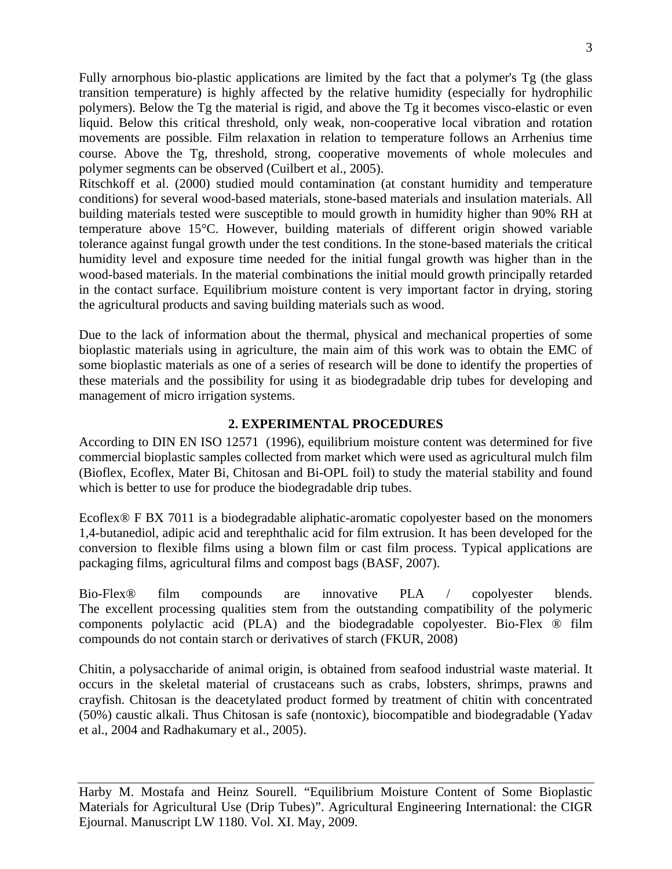Fully arnorphous bio-plastic applications are limited by the fact that a polymer's Tg (the glass transition temperature) is highly affected by the relative humidity (especially for hydrophilic polymers). Below the Tg the material is rigid, and above the Tg it becomes visco-elastic or even liquid. Below this critical threshold, only weak, non-cooperative local vibration and rotation movements are possible. Film relaxation in relation to temperature follows an Arrhenius time course. Above the Tg, threshold, strong, cooperative movements of whole molecules and polymer segments can be observed (Cuilbert et al., 2005).

Ritschkoff et al. (2000) studied mould contamination (at constant humidity and temperature conditions) for several wood-based materials, stone-based materials and insulation materials. All building materials tested were susceptible to mould growth in humidity higher than 90% RH at temperature above 15°C. However, building materials of different origin showed variable tolerance against fungal growth under the test conditions. In the stone-based materials the critical humidity level and exposure time needed for the initial fungal growth was higher than in the wood-based materials. In the material combinations the initial mould growth principally retarded in the contact surface. Equilibrium moisture content is very important factor in drying, storing the agricultural products and saving building materials such as wood.

Due to the lack of information about the thermal, physical and mechanical properties of some bioplastic materials using in agriculture, the main aim of this work was to obtain the EMC of some bioplastic materials as one of a series of research will be done to identify the properties of these materials and the possibility for using it as biodegradable drip tubes for developing and management of micro irrigation systems.

# **2. EXPERIMENTAL PROCEDURES**

According to DIN EN ISO 12571 (1996), equilibrium moisture content was determined for five commercial bioplastic samples collected from market which were used as agricultural mulch film (Bioflex, Ecoflex, Mater Bi, Chitosan and Bi-OPL foil) to study the material stability and found which is better to use for produce the biodegradable drip tubes.

Ecoflex<sup>®</sup> F BX 7011 is a biodegradable aliphatic-aromatic copolyester based on the monomers 1,4-butanediol, adipic acid and terephthalic acid for film extrusion. It has been developed for the conversion to flexible films using a blown film or cast film process. Typical applications are packaging films, agricultural films and compost bags (BASF, 2007).

Bio-Flex® film compounds are innovative PLA / copolyester blends. The excellent processing qualities stem from the outstanding compatibility of the polymeric components polylactic acid (PLA) and the biodegradable copolyester. Bio-Flex ® film compounds do not contain starch or derivatives of starch (FKUR, 2008)

Chitin, a polysaccharide of animal origin, is obtained from seafood industrial waste material. It occurs in the skeletal material of crustaceans such as crabs, lobsters, shrimps, prawns and crayfish. Chitosan is the deacetylated product formed by treatment of chitin with concentrated (50%) caustic alkali. Thus Chitosan is safe (nontoxic), biocompatible and biodegradable (Yadav et al., 2004 and Radhakumary et al., 2005).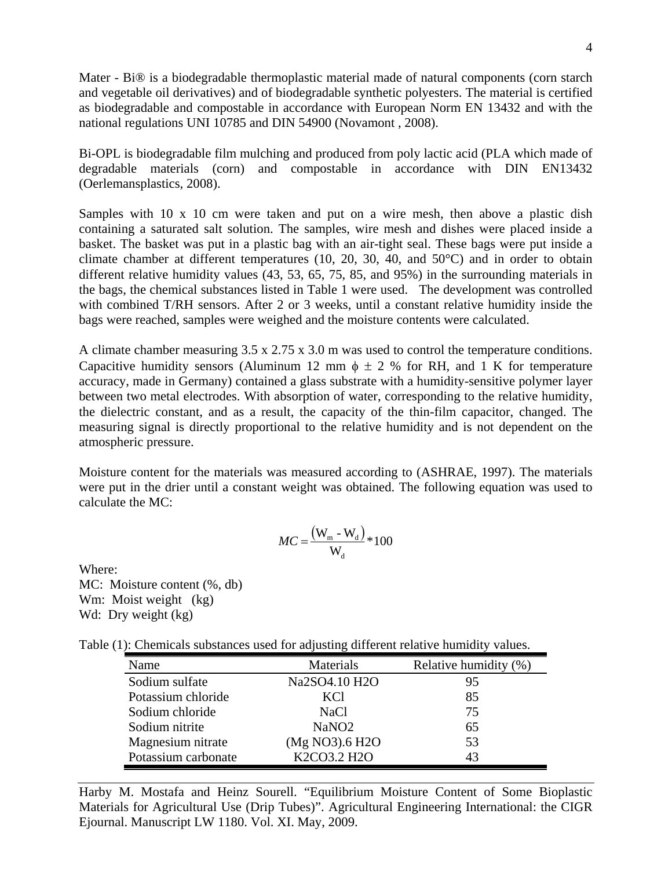Mater - Bi<sup>®</sup> is a biodegradable thermoplastic material made of natural components (corn starch and vegetable oil derivatives) and of biodegradable synthetic polyesters. The material is certified as biodegradable and compostable in accordance with European Norm EN 13432 and with the national regulations UNI 10785 and DIN 54900 (Novamont , 2008).

Bi-OPL is biodegradable film mulching and produced from poly lactic acid (PLA which made of degradable materials (corn) and compostable in accordance with DIN EN13432 (Oerlemansplastics, 2008).

Samples with 10 x 10 cm were taken and put on a wire mesh, then above a plastic dish containing a saturated salt solution. The samples, wire mesh and dishes were placed inside a basket. The basket was put in a plastic bag with an air-tight seal. These bags were put inside a climate chamber at different temperatures (10, 20, 30, 40, and 50°C) and in order to obtain different relative humidity values (43, 53, 65, 75, 85, and 95%) in the surrounding materials in the bags, the chemical substances listed in Table 1 were used. The development was controlled with combined T/RH sensors. After 2 or 3 weeks, until a constant relative humidity inside the bags were reached, samples were weighed and the moisture contents were calculated.

A climate chamber measuring 3.5 x 2.75 x 3.0 m was used to control the temperature conditions. Capacitive humidity sensors (Aluminum 12 mm  $\phi \pm 2$  % for RH, and 1 K for temperature accuracy, made in Germany) contained a glass substrate with a humidity-sensitive polymer layer between two metal electrodes. With absorption of water, corresponding to the relative humidity, the dielectric constant, and as a result, the capacity of the thin-film capacitor, changed. The measuring signal is directly proportional to the relative humidity and is not dependent on the atmospheric pressure.

Moisture content for the materials was measured according to (ASHRAE, 1997). The materials were put in the drier until a constant weight was obtained. The following equation was used to calculate the MC:

$$
MC = \frac{(\mathbf{W}_{\rm m} - \mathbf{W}_{\rm d})}{\mathbf{W}_{\rm d}} \times 100
$$

Where: MC: Moisture content  $(\%$ , db) Wm: Moist weight (kg) Wd: Dry weight (kg)

|  | Table (1): Chemicals substances used for adjusting different relative humidity values. |  |  |  |
|--|----------------------------------------------------------------------------------------|--|--|--|
|  |                                                                                        |  |  |  |

| Name                | Materials         | Relative humidity (%) |
|---------------------|-------------------|-----------------------|
| Sodium sulfate      | Na2SO4.10 H2O     | 95                    |
| Potassium chloride  | <b>KCI</b>        | 85                    |
| Sodium chloride     | <b>NaCl</b>       | 75                    |
| Sodium nitrite      | NaNO <sub>2</sub> | 65                    |
| Magnesium nitrate   | (Mg NO3).6 H2O    | 53                    |
| Potassium carbonate | K2CO3.2 H2O       | 43                    |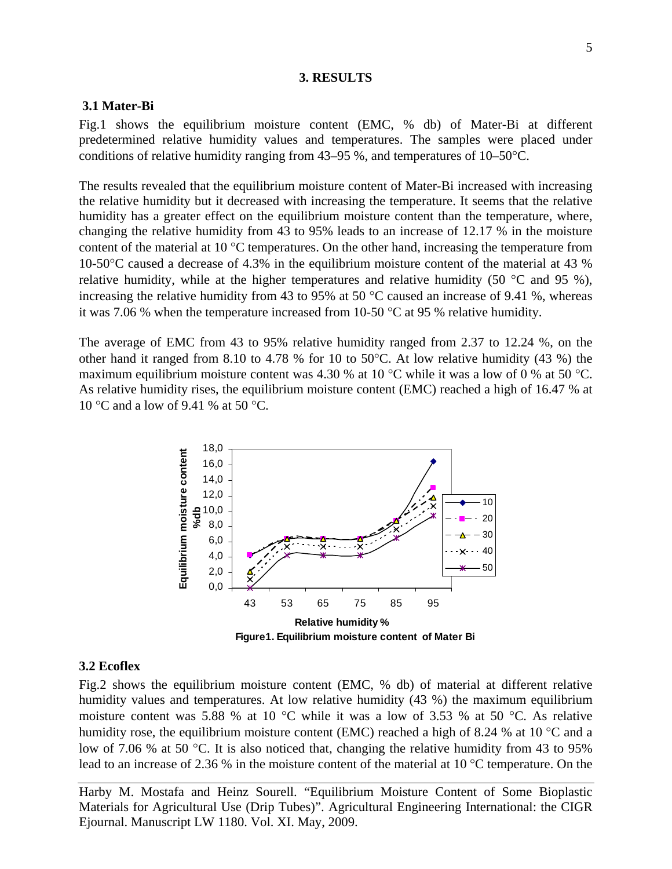### **3. RESULTS**

### **3.1 Mater-Bi**

Fig.1 shows the equilibrium moisture content (EMC, % db) of Mater-Bi at different predetermined relative humidity values and temperatures. The samples were placed under conditions of relative humidity ranging from  $43-95$ %, and temperatures of  $10-50$ °C.

The results revealed that the equilibrium moisture content of Mater-Bi increased with increasing the relative humidity but it decreased with increasing the temperature. It seems that the relative humidity has a greater effect on the equilibrium moisture content than the temperature, where, changing the relative humidity from 43 to 95% leads to an increase of 12.17 % in the moisture content of the material at 10 $\degree$ C temperatures. On the other hand, increasing the temperature from 10-50C caused a decrease of 4.3% in the equilibrium moisture content of the material at 43 % relative humidity, while at the higher temperatures and relative humidity (50  $\degree$ C and 95 %), increasing the relative humidity from 43 to 95% at 50  $^{\circ}$ C caused an increase of 9.41 %, whereas it was 7.06 % when the temperature increased from 10-50  $\degree$ C at 95 % relative humidity.

The average of EMC from 43 to 95% relative humidity ranged from 2.37 to 12.24 %, on the other hand it ranged from 8.10 to 4.78 % for 10 to 50 °C. At low relative humidity (43 %) the maximum equilibrium moisture content was 4.30 % at 10 °C while it was a low of 0 % at 50 °C. As relative humidity rises, the equilibrium moisture content (EMC) reached a high of 16.47 % at 10 °C and a low of 9.41 % at 50 °C.



#### **3.2 Ecoflex**

Fig.2 shows the equilibrium moisture content (EMC, % db) of material at different relative humidity values and temperatures. At low relative humidity (43 %) the maximum equilibrium moisture content was 5.88 % at 10  $^{\circ}$ C while it was a low of 3.53 % at 50  $^{\circ}$ C. As relative humidity rose, the equilibrium moisture content (EMC) reached a high of 8.24 % at 10  $^{\circ}$ C and a low of 7.06 % at 50 °C. It is also noticed that, changing the relative humidity from 43 to 95% lead to an increase of 2.36 % in the moisture content of the material at 10  $^{\circ}$ C temperature. On the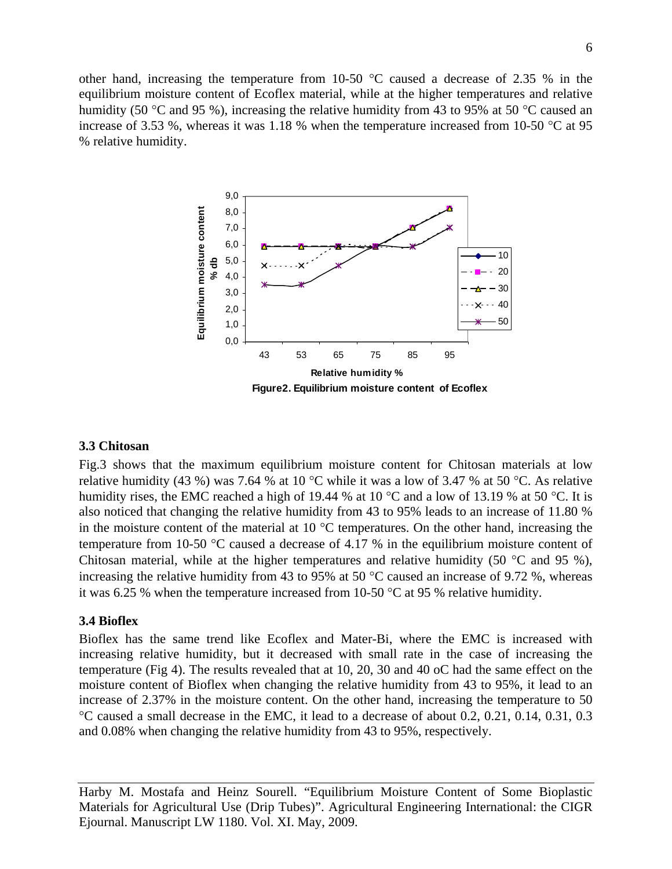other hand, increasing the temperature from 10-50  $^{\circ}$ C caused a decrease of 2.35 % in the equilibrium moisture content of Ecoflex material, while at the higher temperatures and relative humidity (50 °C and 95 %), increasing the relative humidity from 43 to 95% at 50 °C caused an increase of 3.53 %, whereas it was 1.18 % when the temperature increased from 10-50  $\degree$ C at 95 % relative humidity.



#### **3.3 Chitosan**

Fig.3 shows that the maximum equilibrium moisture content for Chitosan materials at low relative humidity (43 %) was 7.64 % at 10 °C while it was a low of 3.47 % at 50 °C. As relative humidity rises, the EMC reached a high of 19.44 % at 10  $^{\circ}$ C and a low of 13.19 % at 50  $^{\circ}$ C. It is also noticed that changing the relative humidity from 43 to 95% leads to an increase of 11.80 % in the moisture content of the material at  $10^{\circ}$ C temperatures. On the other hand, increasing the temperature from 10-50  $\degree$ C caused a decrease of 4.17 % in the equilibrium moisture content of Chitosan material, while at the higher temperatures and relative humidity (50  $\degree$ C and 95 %), increasing the relative humidity from 43 to 95% at 50  $^{\circ}$ C caused an increase of 9.72 %, whereas it was 6.25 % when the temperature increased from 10-50  $\degree$ C at 95 % relative humidity.

#### **3.4 Bioflex**

Bioflex has the same trend like Ecoflex and Mater-Bi, where the EMC is increased with increasing relative humidity, but it decreased with small rate in the case of increasing the temperature (Fig 4). The results revealed that at 10, 20, 30 and 40 oC had the same effect on the moisture content of Bioflex when changing the relative humidity from 43 to 95%, it lead to an increase of 2.37% in the moisture content. On the other hand, increasing the temperature to 50 C caused a small decrease in the EMC, it lead to a decrease of about 0.2, 0.21, 0.14, 0.31, 0.3 and 0.08% when changing the relative humidity from 43 to 95%, respectively.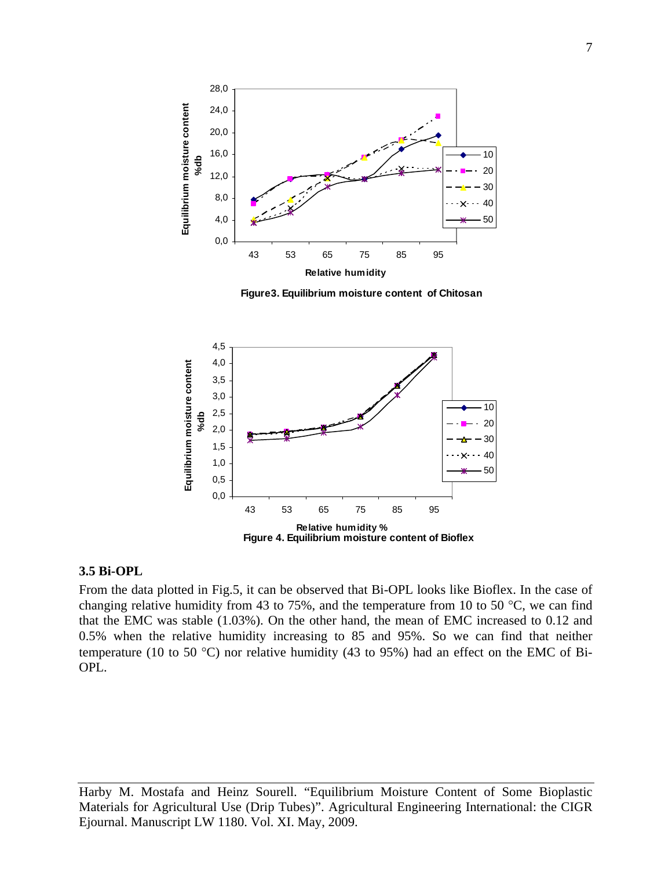

**Figure3. Equilibrium moisture content of Chitosan**



## **3.5 Bi-OPL**

From the data plotted in Fig.5, it can be observed that Bi-OPL looks like Bioflex. In the case of changing relative humidity from 43 to 75%, and the temperature from 10 to 50 °C, we can find that the EMC was stable (1.03%). On the other hand, the mean of EMC increased to 0.12 and 0.5% when the relative humidity increasing to 85 and 95%. So we can find that neither temperature (10 to 50 °C) nor relative humidity (43 to 95%) had an effect on the EMC of Bi-OPL.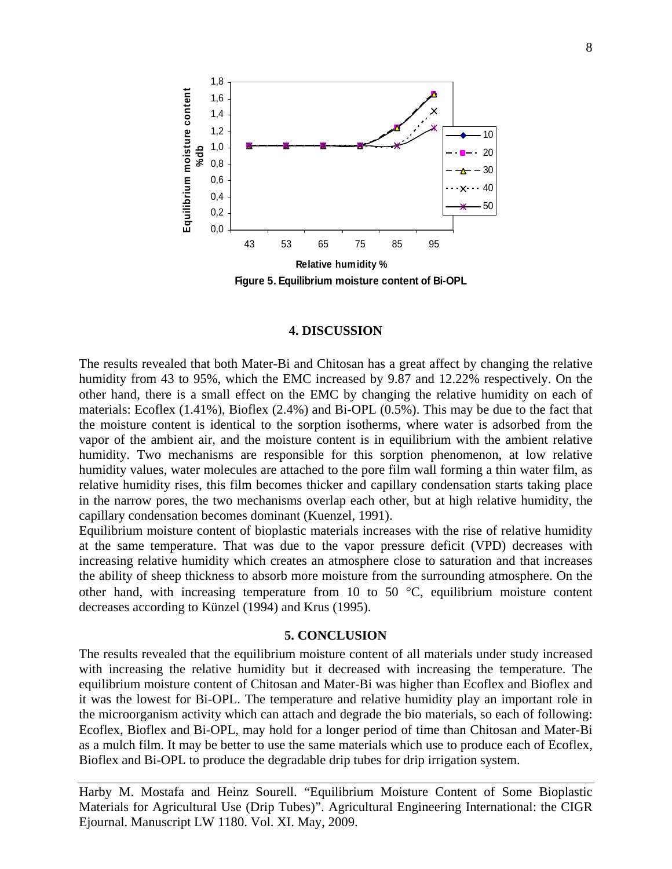

#### **4. DISCUSSION**

The results revealed that both Mater-Bi and Chitosan has a great affect by changing the relative humidity from 43 to 95%, which the EMC increased by 9.87 and 12.22% respectively. On the other hand, there is a small effect on the EMC by changing the relative humidity on each of materials: Ecoflex (1.41%), Bioflex (2.4%) and Bi-OPL (0.5%). This may be due to the fact that the moisture content is identical to the sorption isotherms, where water is adsorbed from the vapor of the ambient air, and the moisture content is in equilibrium with the ambient relative humidity. Two mechanisms are responsible for this sorption phenomenon, at low relative humidity values, water molecules are attached to the pore film wall forming a thin water film, as relative humidity rises, this film becomes thicker and capillary condensation starts taking place in the narrow pores, the two mechanisms overlap each other, but at high relative humidity, the capillary condensation becomes dominant (Kuenzel, 1991).

Equilibrium moisture content of bioplastic materials increases with the rise of relative humidity at the same temperature. That was due to the vapor pressure deficit (VPD) decreases with increasing relative humidity which creates an atmosphere close to saturation and that increases the ability of sheep thickness to absorb more moisture from the surrounding atmosphere. On the other hand, with increasing temperature from 10 to 50  $\degree$ C, equilibrium moisture content decreases according to Künzel (1994) and Krus (1995).

#### **5. CONCLUSION**

The results revealed that the equilibrium moisture content of all materials under study increased with increasing the relative humidity but it decreased with increasing the temperature. The equilibrium moisture content of Chitosan and Mater-Bi was higher than Ecoflex and Bioflex and it was the lowest for Bi-OPL. The temperature and relative humidity play an important role in the microorganism activity which can attach and degrade the bio materials, so each of following: Ecoflex, Bioflex and Bi-OPL, may hold for a longer period of time than Chitosan and Mater-Bi as a mulch film. It may be better to use the same materials which use to produce each of Ecoflex, Bioflex and Bi-OPL to produce the degradable drip tubes for drip irrigation system.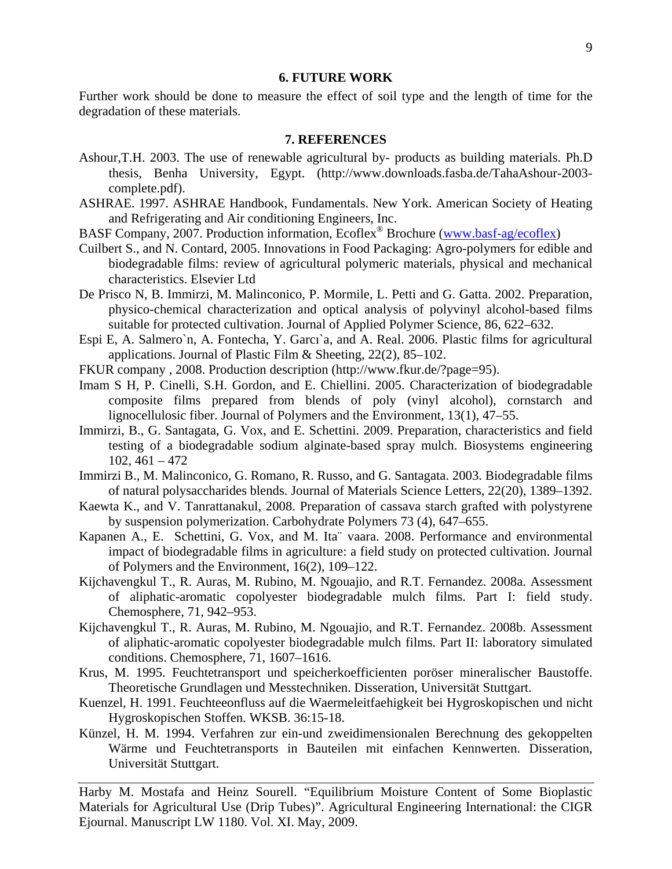#### **6. FUTURE WORK**

Further work should be done to measure the effect of soil type and the length of time for the degradation of these materials.

# **7. REFERENCES**

- Ashour,T.H. 2003. The use of renewable agricultural by- products as building materials. Ph.D thesis, Benha University, Egypt. (http://www.downloads.fasba.de/TahaAshour-2003 complete.pdf).
- ASHRAE. 1997. ASHRAE Handbook, Fundamentals. New York. American Society of Heating and Refrigerating and Air conditioning Engineers, Inc.
- BASF Company, 2007. Production information, Ecoflex<sup>®</sup> Brochure (www.basf-ag/ecoflex)
- Cuilbert S., and N. Contard, 2005. Innovations in Food Packaging: Agro-polymers for edible and biodegradable films: review of agricultural polymeric materials, physical and mechanical characteristics. Elsevier Ltd
- De Prisco N, B. Immirzi, M. Malinconico, P. Mormile, L. Petti and G. Gatta. 2002. Preparation, physico-chemical characterization and optical analysis of polyvinyl alcohol-based films suitable for protected cultivation. Journal of Applied Polymer Science, 86, 622–632.
- Espi E, A. Salmero`n, A. Fontecha, Y. Garcı`a, and A. Real. 2006. Plastic films for agricultural applications. Journal of Plastic Film & Sheeting, 22(2), 85–102.
- FKUR company , 2008. Production description (http://www.fkur.de/?page=95).
- Imam S H, P. Cinelli, S.H. Gordon, and E. Chiellini. 2005. Characterization of biodegradable composite films prepared from blends of poly (vinyl alcohol), cornstarch and lignocellulosic fiber. Journal of Polymers and the Environment, 13(1), 47–55.
- Immirzi, B., G. Santagata, G. Vox, and E. Schettini. 2009. Preparation, characteristics and field testing of a biodegradable sodium alginate-based spray mulch. Biosystems engineering  $102, 461 - 472$
- Immirzi B., M. Malinconico, G. Romano, R. Russo, and G. Santagata. 2003. Biodegradable films of natural polysaccharides blends. Journal of Materials Science Letters, 22(20), 1389–1392.
- Kaewta K., and V. Tanrattanakul, 2008. Preparation of cassava starch grafted with polystyrene by suspension polymerization. Carbohydrate Polymers 73 (4), 647–655.
- Kapanen A., E. Schettini, G. Vox, and M. Ita¨ vaara. 2008. Performance and environmental impact of biodegradable films in agriculture: a field study on protected cultivation. Journal of Polymers and the Environment, 16(2), 109–122.
- Kijchavengkul T., R. Auras, M. Rubino, M. Ngouajio, and R.T. Fernandez. 2008a. Assessment of aliphatic-aromatic copolyester biodegradable mulch films. Part I: field study. Chemosphere, 71, 942–953.
- Kijchavengkul T., R. Auras, M. Rubino, M. Ngouajio, and R.T. Fernandez. 2008b. Assessment of aliphatic-aromatic copolyester biodegradable mulch films. Part II: laboratory simulated conditions. Chemosphere, 71, 1607–1616.
- Krus, M. 1995. Feuchtetransport und speicherkoefficienten poröser mineralischer Baustoffe. Theoretische Grundlagen und Messtechniken. Disseration, Universität Stuttgart.
- Kuenzel, H. 1991. Feuchteeonfluss auf die Waermeleitfaehigkeit bei Hygroskopischen und nicht Hygroskopischen Stoffen. WKSB. 36:15-18.
- Künzel, H. M. 1994. Verfahren zur ein-und zweidimensionalen Berechnung des gekoppelten Wärme und Feuchtetransports in Bauteilen mit einfachen Kennwerten. Disseration, Universität Stuttgart.